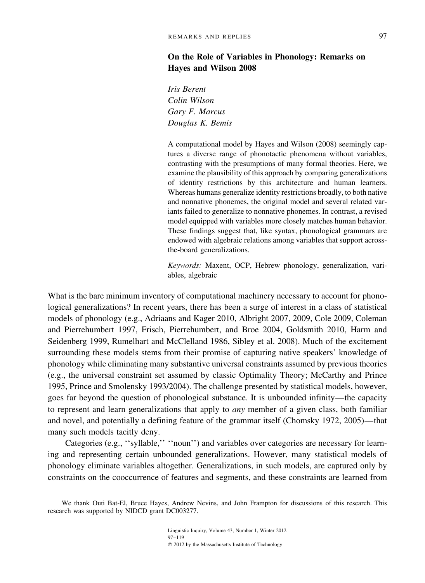## **On the Role of Variables in Phonology: Remarks on Hayes and Wilson 2008**

*Iris Berent Colin Wilson Gary F. Marcus Douglas K. Bemis*

A computational model by Hayes and Wilson (2008) seemingly captures a diverse range of phonotactic phenomena without variables, contrasting with the presumptions of many formal theories. Here, we examine the plausibility of this approach by comparing generalizations of identity restrictions by this architecture and human learners. Whereas humans generalize identity restrictions broadly, to both native and nonnative phonemes, the original model and several related variants failed to generalize to nonnative phonemes. In contrast, a revised model equipped with variables more closely matches human behavior. These findings suggest that, like syntax, phonological grammars are endowed with algebraic relations among variables that support acrossthe-board generalizations.

*Keywords:* Maxent, OCP, Hebrew phonology, generalization, variables, algebraic

What is the bare minimum inventory of computational machinery necessary to account for phonological generalizations? In recent years, there has been a surge of interest in a class of statistical models of phonology (e.g., Adriaans and Kager 2010, Albright 2007, 2009, Cole 2009, Coleman and Pierrehumbert 1997, Frisch, Pierrehumbert, and Broe 2004, Goldsmith 2010, Harm and Seidenberg 1999, Rumelhart and McClelland 1986, Sibley et al. 2008). Much of the excitement surrounding these models stems from their promise of capturing native speakers' knowledge of phonology while eliminating many substantive universal constraints assumed by previous theories (e.g., the universal constraint set assumed by classic Optimality Theory; McCarthy and Prince 1995, Prince and Smolensky 1993/2004). The challenge presented by statistical models, however, goes far beyond the question of phonological substance. It is unbounded infinity—the capacity to represent and learn generalizations that apply to *any* member of a given class, both familiar and novel, and potentially a defining feature of the grammar itself (Chomsky 1972, 2005)—that many such models tacitly deny.

Categories (e.g., ''syllable,'' ''noun'') and variables over categories are necessary for learning and representing certain unbounded generalizations. However, many statistical models of phonology eliminate variables altogether. Generalizations, in such models, are captured only by constraints on the cooccurrence of features and segments, and these constraints are learned from

We thank Outi Bat-El, Bruce Hayes, Andrew Nevins, and John Frampton for discussions of this research. This research was supported by NIDCD grant DC003277.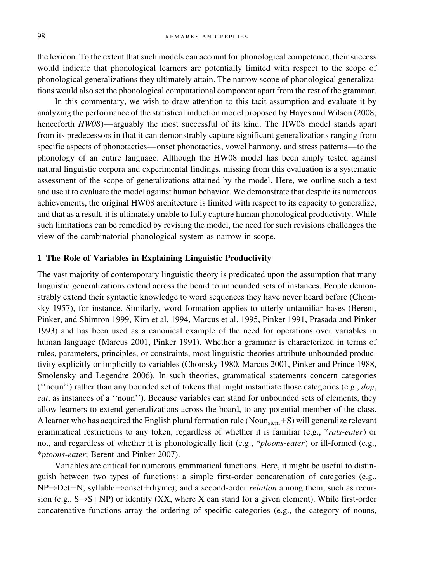the lexicon. To the extent that such models can account for phonological competence, their success would indicate that phonological learners are potentially limited with respect to the scope of phonological generalizations they ultimately attain. The narrow scope of phonological generalizations would also set the phonological computational component apart from the rest of the grammar.

In this commentary, we wish to draw attention to this tacit assumption and evaluate it by analyzing the performance of the statistical induction model proposed by Hayes and Wilson (2008; henceforth *HW08*)—arguably the most successful of its kind. The HW08 model stands apart from its predecessors in that it can demonstrably capture significant generalizations ranging from specific aspects of phonotactics—onset phonotactics, vowel harmony, and stress patterns—to the phonology of an entire language. Although the HW08 model has been amply tested against natural linguistic corpora and experimental findings, missing from this evaluation is a systematic assessment of the scope of generalizations attained by the model. Here, we outline such a test and use it to evaluate the model against human behavior. We demonstrate that despite its numerous achievements, the original HW08 architecture is limited with respect to its capacity to generalize, and that as a result, it is ultimately unable to fully capture human phonological productivity. While such limitations can be remedied by revising the model, the need for such revisions challenges the view of the combinatorial phonological system as narrow in scope.

# **1 The Role of Variables in Explaining Linguistic Productivity**

The vast majority of contemporary linguistic theory is predicated upon the assumption that many linguistic generalizations extend across the board to unbounded sets of instances. People demonstrably extend their syntactic knowledge to word sequences they have never heard before (Chomsky 1957), for instance. Similarly, word formation applies to utterly unfamiliar bases (Berent, Pinker, and Shimron 1999, Kim et al. 1994, Marcus et al. 1995, Pinker 1991, Prasada and Pinker 1993) and has been used as a canonical example of the need for operations over variables in human language (Marcus 2001, Pinker 1991). Whether a grammar is characterized in terms of rules, parameters, principles, or constraints, most linguistic theories attribute unbounded productivity explicitly or implicitly to variables (Chomsky 1980, Marcus 2001, Pinker and Prince 1988, Smolensky and Legendre 2006). In such theories, grammatical statements concern categories (''noun'') rather than any bounded set of tokens that might instantiate those categories (e.g., *dog*, *cat*, as instances of a ''noun''). Because variables can stand for unbounded sets of elements, they allow learners to extend generalizations across the board, to any potential member of the class. A learner who has acquired the English plural formation rule (Noun $_{\rm stem}$ +S) will generalize relevant grammatical restrictions to any token, regardless of whether it is familiar (e.g., \**rats-eater*) or not, and regardless of whether it is phonologically licit (e.g., \**ploons-eater*) or ill-formed (e.g., \**ptoons-eater*; Berent and Pinker 2007).

Variables are critical for numerous grammatical functions. Here, it might be useful to distinguish between two types of functions: a simple first-order concatenation of categories (e.g., NP $\rightarrow$ Det+N; syllable $\rightarrow$ onset+rhyme); and a second-order *relation* among them, such as recursion (e.g.,  $S\rightarrow S+NP$ ) or identity (XX, where X can stand for a given element). While first-order concatenative functions array the ordering of specific categories (e.g., the category of nouns,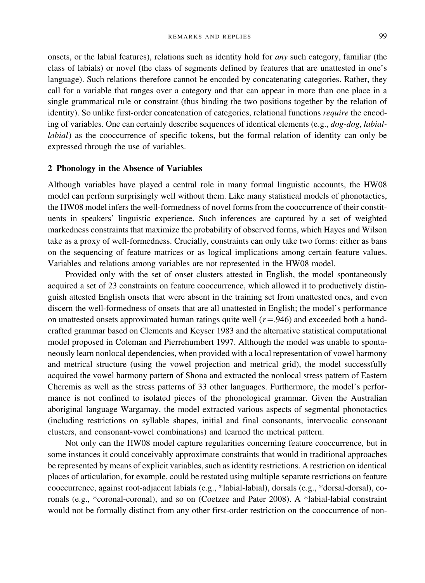onsets, or the labial features), relations such as identity hold for *any* such category, familiar (the class of labials) or novel (the class of segments defined by features that are unattested in one's language). Such relations therefore cannot be encoded by concatenating categories. Rather, they call for a variable that ranges over a category and that can appear in more than one place in a single grammatical rule or constraint (thus binding the two positions together by the relation of identity). So unlike first-order concatenation of categories, relational functions *require* the encoding of variables. One can certainly describe sequences of identical elements (e.g., *dog-dog*, *labiallabial*) as the cooccurrence of specific tokens, but the formal relation of identity can only be expressed through the use of variables.

### **2 Phonology in the Absence of Variables**

Although variables have played a central role in many formal linguistic accounts, the HW08 model can perform surprisingly well without them. Like many statistical models of phonotactics, the HW08 model infers the well-formedness of novel forms from the cooccurrence of their constituents in speakers' linguistic experience. Such inferences are captured by a set of weighted markedness constraints that maximize the probability of observed forms, which Hayes and Wilson take as a proxy of well-formedness. Crucially, constraints can only take two forms: either as bans on the sequencing of feature matrices or as logical implications among certain feature values. Variables and relations among variables are not represented in the HW08 model.

Provided only with the set of onset clusters attested in English, the model spontaneously acquired a set of 23 constraints on feature cooccurrence, which allowed it to productively distinguish attested English onsets that were absent in the training set from unattested ones, and even discern the well-formedness of onsets that are all unattested in English; the model's performance on unattested onsets approximated human ratings quite well  $(r=0.946)$  and exceeded both a handcrafted grammar based on Clements and Keyser 1983 and the alternative statistical computational model proposed in Coleman and Pierrehumbert 1997. Although the model was unable to spontaneously learn nonlocal dependencies, when provided with a local representation of vowel harmony and metrical structure (using the vowel projection and metrical grid), the model successfully acquired the vowel harmony pattern of Shona and extracted the nonlocal stress pattern of Eastern Cheremis as well as the stress patterns of 33 other languages. Furthermore, the model's performance is not confined to isolated pieces of the phonological grammar. Given the Australian aboriginal language Wargamay, the model extracted various aspects of segmental phonotactics (including restrictions on syllable shapes, initial and final consonants, intervocalic consonant clusters, and consonant-vowel combinations) and learned the metrical pattern.

Not only can the HW08 model capture regularities concerning feature cooccurrence, but in some instances it could conceivably approximate constraints that would in traditional approaches be represented by means of explicit variables, such as identity restrictions. A restriction on identical places of articulation, for example, could be restated using multiple separate restrictions on feature cooccurrence, against root-adjacent labials (e.g., \*labial-labial), dorsals (e.g., \*dorsal-dorsal), coronals (e.g., \*coronal-coronal), and so on (Coetzee and Pater 2008). A \*labial-labial constraint would not be formally distinct from any other first-order restriction on the cooccurrence of non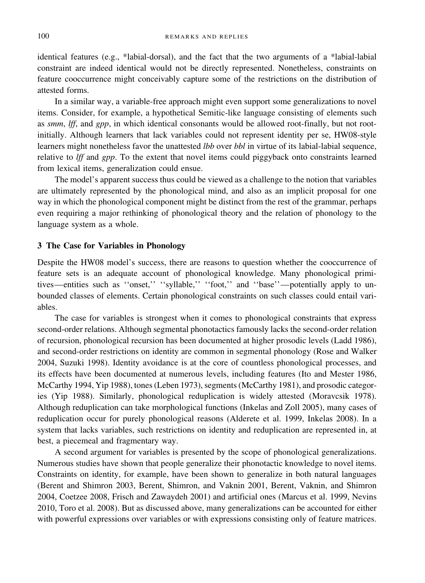identical features (e.g., \*labial-dorsal), and the fact that the two arguments of a \*labial-labial constraint are indeed identical would not be directly represented. Nonetheless, constraints on feature cooccurrence might conceivably capture some of the restrictions on the distribution of attested forms.

In a similar way, a variable-free approach might even support some generalizations to novel items. Consider, for example, a hypothetical Semitic-like language consisting of elements such as *smm*, *lff*, and *gpp*, in which identical consonants would be allowed root-finally, but not rootinitially. Although learners that lack variables could not represent identity per se, HW08-style learners might nonetheless favor the unattested *lbb* over *bbl* in virtue of its labial-labial sequence, relative to *lff* and *gpp*. To the extent that novel items could piggyback onto constraints learned from lexical items, generalization could ensue.

The model's apparent success thus could be viewed as a challenge to the notion that variables are ultimately represented by the phonological mind, and also as an implicit proposal for one way in which the phonological component might be distinct from the rest of the grammar, perhaps even requiring a major rethinking of phonological theory and the relation of phonology to the language system as a whole.

#### **3 The Case for Variables in Phonology**

Despite the HW08 model's success, there are reasons to question whether the cooccurrence of feature sets is an adequate account of phonological knowledge. Many phonological primitives—entities such as ''onset,'' ''syllable,'' ''foot,'' and ''base''—potentially apply to unbounded classes of elements. Certain phonological constraints on such classes could entail variables.

The case for variables is strongest when it comes to phonological constraints that express second-order relations. Although segmental phonotactics famously lacks the second-order relation of recursion, phonological recursion has been documented at higher prosodic levels (Ladd 1986), and second-order restrictions on identity are common in segmental phonology (Rose and Walker 2004, Suzuki 1998). Identity avoidance is at the core of countless phonological processes, and its effects have been documented at numerous levels, including features (Ito and Mester 1986, McCarthy 1994, Yip 1988), tones (Leben 1973), segments (McCarthy 1981), and prosodic categories (Yip 1988). Similarly, phonological reduplication is widely attested (Moravcsik 1978). Although reduplication can take morphological functions (Inkelas and Zoll 2005), many cases of reduplication occur for purely phonological reasons (Alderete et al. 1999, Inkelas 2008). In a system that lacks variables, such restrictions on identity and reduplication are represented in, at best, a piecemeal and fragmentary way.

A second argument for variables is presented by the scope of phonological generalizations. Numerous studies have shown that people generalize their phonotactic knowledge to novel items. Constraints on identity, for example, have been shown to generalize in both natural languages (Berent and Shimron 2003, Berent, Shimron, and Vaknin 2001, Berent, Vaknin, and Shimron 2004, Coetzee 2008, Frisch and Zawaydeh 2001) and artificial ones (Marcus et al. 1999, Nevins 2010, Toro et al. 2008). But as discussed above, many generalizations can be accounted for either with powerful expressions over variables or with expressions consisting only of feature matrices.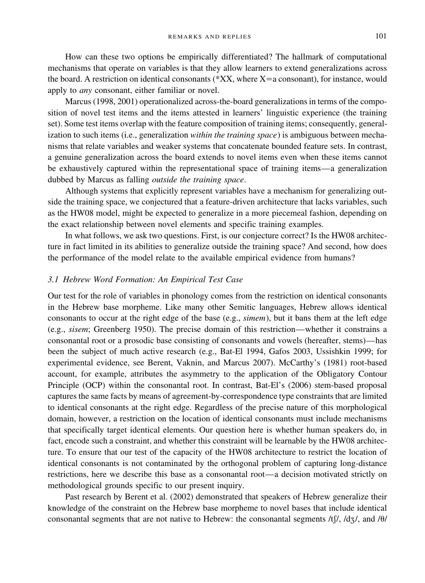How can these two options be empirically differentiated? The hallmark of computational mechanisms that operate on variables is that they allow learners to extend generalizations across the board. A restriction on identical consonants ( $*XX$ , where  $X=a$  consonant), for instance, would apply to *any* consonant, either familiar or novel.

Marcus (1998, 2001) operationalized across-the-board generalizations in terms of the composition of novel test items and the items attested in learners' linguistic experience (the training set). Some test items overlap with the feature composition of training items; consequently, generalization to such items (i.e., generalization *within the training space*) is ambiguous between mechanisms that relate variables and weaker systems that concatenate bounded feature sets. In contrast, a genuine generalization across the board extends to novel items even when these items cannot be exhaustively captured within the representational space of training items—a generalization dubbed by Marcus as falling *outside the training space*.

Although systems that explicitly represent variables have a mechanism for generalizing outside the training space, we conjectured that a feature-driven architecture that lacks variables, such as the HW08 model, might be expected to generalize in a more piecemeal fashion, depending on the exact relationship between novel elements and specific training examples.

In what follows, we ask two questions. First, is our conjecture correct? Is the HW08 architecture in fact limited in its abilities to generalize outside the training space? And second, how does the performance of the model relate to the available empirical evidence from humans?

#### *3.1 Hebrew Word Formation: An Empirical Test Case*

Our test for the role of variables in phonology comes from the restriction on identical consonants in the Hebrew base morpheme. Like many other Semitic languages, Hebrew allows identical consonants to occur at the right edge of the base (e.g., *simem*), but it bans them at the left edge (e.g., *sisem*; Greenberg 1950). The precise domain of this restriction—whether it constrains a consonantal root or a prosodic base consisting of consonants and vowels (hereafter, stems)—has been the subject of much active research (e.g., Bat-El 1994, Gafos 2003, Ussishkin 1999; for experimental evidence, see Berent, Vaknin, and Marcus 2007). McCarthy's (1981) root-based account, for example, attributes the asymmetry to the application of the Obligatory Contour Principle (OCP) within the consonantal root. In contrast, Bat-El's (2006) stem-based proposal captures the same facts by means of agreement-by-correspondence type constraints that are limited to identical consonants at the right edge. Regardless of the precise nature of this morphological domain, however, a restriction on the location of identical consonants must include mechanisms that specifically target identical elements. Our question here is whether human speakers do, in fact, encode such a constraint, and whether this constraint will be learnable by the HW08 architecture. To ensure that our test of the capacity of the HW08 architecture to restrict the location of identical consonants is not contaminated by the orthogonal problem of capturing long-distance restrictions, here we describe this base as a consonantal root—a decision motivated strictly on methodological grounds specific to our present inquiry.

Past research by Berent et al. (2002) demonstrated that speakers of Hebrew generalize their knowledge of the constraint on the Hebrew base morpheme to novel bases that include identical consonantal segments that are not native to Hebrew: the consonantal segments  $/t\int_1/\sqrt{d}z/\sqrt{d}z$ , and  $/\theta$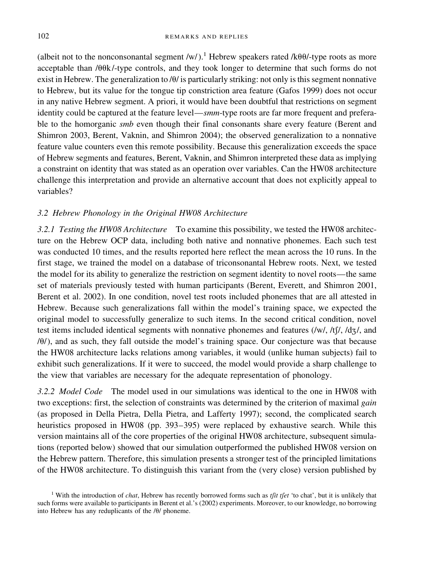102 REMARKS AND REPLIES

(albeit not to the nonconsonantal segment /w/).<sup>1</sup> Hebrew speakers rated /k $\theta\theta$ /-type roots as more acceptable than  $\frac{\theta \theta k}{-t}$  controls, and they took longer to determine that such forms do not exist in Hebrew. The generalization to  $\theta$  is particularly striking: not only is this segment nonnative to Hebrew, but its value for the tongue tip constriction area feature (Gafos 1999) does not occur in any native Hebrew segment. A priori, it would have been doubtful that restrictions on segment identity could be captured at the feature level—*smm*-type roots are far more frequent and preferable to the homorganic *smb* even though their final consonants share every feature (Berent and Shimron 2003, Berent, Vaknin, and Shimron 2004); the observed generalization to a nonnative feature value counters even this remote possibility. Because this generalization exceeds the space of Hebrew segments and features, Berent, Vaknin, and Shimron interpreted these data as implying a constraint on identity that was stated as an operation over variables. Can the HW08 architecture challenge this interpretation and provide an alternative account that does not explicitly appeal to variables?

## *3.2 Hebrew Phonology in the Original HW08 Architecture*

*3.2.1 Testing the HW08 Architecture* To examine this possibility, we tested the HW08 architecture on the Hebrew OCP data, including both native and nonnative phonemes. Each such test was conducted 10 times, and the results reported here reflect the mean across the 10 runs. In the first stage, we trained the model on a database of triconsonantal Hebrew roots. Next, we tested the model for its ability to generalize the restriction on segment identity to novel roots—the same set of materials previously tested with human participants (Berent, Everett, and Shimron 2001, Berent et al. 2002). In one condition, novel test roots included phonemes that are all attested in Hebrew. Because such generalizations fall within the model's training space, we expected the original model to successfully generalize to such items. In the second critical condition, novel test items included identical segments with nonnative phonemes and features  $(\frac{w}{t}, \frac{h}{t}, \frac{d}{d}, \frac{d}{d})$ , and  $/0$ , and as such, they fall outside the model's training space. Our conjecture was that because the HW08 architecture lacks relations among variables, it would (unlike human subjects) fail to exhibit such generalizations. If it were to succeed, the model would provide a sharp challenge to the view that variables are necessary for the adequate representation of phonology.

*3.2.2 Model Code* The model used in our simulations was identical to the one in HW08 with two exceptions: first, the selection of constraints was determined by the criterion of maximal *gain* (as proposed in Della Pietra, Della Pietra, and Lafferty 1997); second, the complicated search heuristics proposed in HW08 (pp. 393–395) were replaced by exhaustive search. While this version maintains all of the core properties of the original HW08 architecture, subsequent simulations (reported below) showed that our simulation outperformed the published HW08 version on the Hebrew pattern. Therefore, this simulation presents a stronger test of the principled limitations of the HW08 architecture. To distinguish this variant from the (very close) version published by

<sup>&</sup>lt;sup>1</sup> With the introduction of *chat*, Hebrew has recently borrowed forms such as *tfit tfet* 'to chat', but it is unlikely that such forms were available to participants in Berent et al.'s (2002) experiments. Moreover, to our knowledge, no borrowing into Hebrew has any reduplicants of the  $/\theta$  phoneme.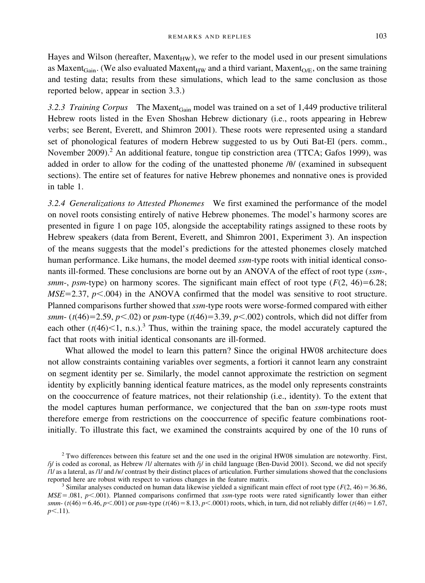Hayes and Wilson (hereafter,  $Maxent_{HW}$ ), we refer to the model used in our present simulations as Maxent<sub>Gain</sub>. (We also evaluated Maxent<sub>HW</sub> and a third variant, Maxent<sub>O/E</sub>, on the same training and testing data; results from these simulations, which lead to the same conclusion as those reported below, appear in section 3.3.)

*3.2.3 Training Corpus* The MaxentGain model was trained on a set of 1,449 productive triliteral Hebrew roots listed in the Even Shoshan Hebrew dictionary (i.e., roots appearing in Hebrew verbs; see Berent, Everett, and Shimron 2001). These roots were represented using a standard set of phonological features of modern Hebrew suggested to us by Outi Bat-El (pers. comm., November 2009).<sup>2</sup> An additional feature, tongue tip constriction area (TTCA; Gafos 1999), was added in order to allow for the coding of the unattested phoneme  $/ \theta$  (examined in subsequent sections). The entire set of features for native Hebrew phonemes and nonnative ones is provided in table 1.

*3.2.4 Generalizations to Attested Phonemes* We first examined the performance of the model on novel roots consisting entirely of native Hebrew phonemes. The model's harmony scores are presented in figure 1 on page 105, alongside the acceptability ratings assigned to these roots by Hebrew speakers (data from Berent, Everett, and Shimron 2001, Experiment 3). An inspection of the means suggests that the model's predictions for the attested phonemes closely matched human performance. Like humans, the model deemed *ssm*-type roots with initial identical consonants ill-formed. These conclusions are borne out by an ANOVA of the effect of root type (*ssm*-, *smm*-,  $psm$ -type) on harmony scores. The significant main effect of root type  $(F(2, 46)=6.28;$  $MSE$ =2.37,  $p$ <.004) in the ANOVA confirmed that the model was sensitive to root structure. Planned comparisons further showed that *ssm*-type roots were worse-formed compared with either *smm*- ( $t$ (46)=2.59,  $p$ <.02) or  $p$ sm-type ( $t$ (46)=3.39,  $p$ <.002) controls, which did not differ from each other  $(t(46) < 1, n.s.)$ <sup>3</sup> Thus, within the training space, the model accurately captured the fact that roots with initial identical consonants are ill-formed.

What allowed the model to learn this pattern? Since the original HW08 architecture does not allow constraints containing variables over segments, a fortiori it cannot learn any constraint on segment identity per se. Similarly, the model cannot approximate the restriction on segment identity by explicitly banning identical feature matrices, as the model only represents constraints on the cooccurrence of feature matrices, not their relationship (i.e., identity). To the extent that the model captures human performance, we conjectured that the ban on *ssm*-type roots must therefore emerge from restrictions on the cooccurrence of specific feature combinations rootinitially. To illustrate this fact, we examined the constraints acquired by one of the 10 runs of

<sup>&</sup>lt;sup>2</sup> Two differences between this feature set and the one used in the original HW08 simulation are noteworthy. First,  $/$ j/ is coded as coronal, as Hebrew /l/ alternates with  $/$ j/ in child language (Ben-David 2001). Second, we did not specify  $/1/$  as a lateral, as  $/1/$  and  $/$ s/ contrast by their distinct places of articulation. Further simulations showed that the conclusions reported here are robust with respect to various changes in the feature matrix.

<sup>&</sup>lt;sup>3</sup> Similar analyses conducted on human data likewise yielded a significant main effect of root type ( $F(2, 46) = 36.86$ ,  $MSE = .081$ ,  $p < .001$ ). Planned comparisons confirmed that *ssm*-type roots were rated significantly lower than either *smm*- ( $t(46) = 6.46$ ,  $p < .001$ ) or  $psm$ -type ( $t(46) = 8.13$ ,  $p < .0001$ ) roots, which, in turn, did not reliably differ ( $t(46) = 1.67$ ,  $p<.11$ ).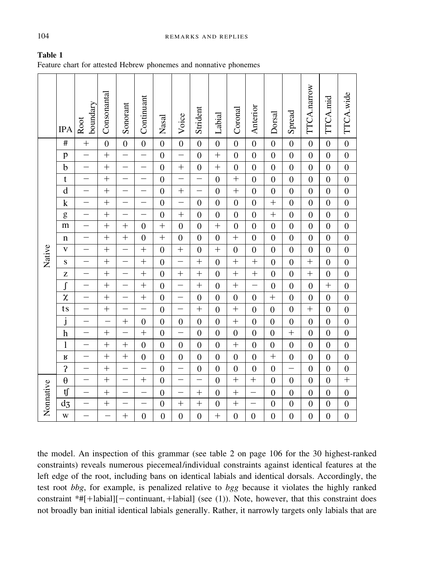| Feature chart for attested Hebrew phonemes and nonnative phonemes |  |  |
|-------------------------------------------------------------------|--|--|
|-------------------------------------------------------------------|--|--|

|           | <b>IPA</b>                | boundary<br>Root         | Consonantal              | Sonorant                 | Continuant               | Nasal            | Voice                    | Strident         | Labial           | Coronal          | Anterior         | Dorsal           | Spread                   | <b>TTCA.narrow</b> | TTCA.mid         | TTCA.wide        |
|-----------|---------------------------|--------------------------|--------------------------|--------------------------|--------------------------|------------------|--------------------------|------------------|------------------|------------------|------------------|------------------|--------------------------|--------------------|------------------|------------------|
|           | $\overline{\overline{H}}$ | $^{+}$                   | $\boldsymbol{0}$         | $\boldsymbol{0}$         | $\boldsymbol{0}$         | $\overline{0}$   | $\boldsymbol{0}$         | $\overline{0}$   | $\boldsymbol{0}$ | $\boldsymbol{0}$ | $\boldsymbol{0}$ | $\overline{0}$   | $\overline{0}$           | $\overline{0}$     | $\overline{0}$   | $\overline{0}$   |
|           | $\overline{p}$            | $\overline{\phantom{0}}$ | $+$                      | $\overline{\phantom{0}}$ | $\overline{\phantom{0}}$ | $\overline{0}$   | $\overline{\phantom{0}}$ | $\overline{0}$   | $\overline{+}$   | $\overline{0}$   | $\overline{0}$   | $\overline{0}$   | $\overline{0}$           | $\overline{0}$     | $\overline{0}$   | $\overline{0}$   |
|           | $\mathbf b$               | $\overline{\phantom{0}}$ | $\ddot{}$                | $\overline{\phantom{0}}$ |                          | $\mathbf{0}$     | $^{+}$                   | $\boldsymbol{0}$ | $^{+}$           | $\boldsymbol{0}$ | $\boldsymbol{0}$ | $\mathbf{0}$     | $\boldsymbol{0}$         | $\boldsymbol{0}$   | $\boldsymbol{0}$ | $\boldsymbol{0}$ |
|           | $\mathbf t$               | -                        | $+$                      |                          |                          | $\overline{0}$   |                          | —                | $\overline{0}$   | $\ddot{}$        | $\boldsymbol{0}$ | $\overline{0}$   | $\overline{0}$           | $\boldsymbol{0}$   | $\overline{0}$   | $\overline{0}$   |
|           | $\overline{d}$            | $\overline{\phantom{0}}$ | $\overline{+}$           |                          |                          | $\boldsymbol{0}$ | $^{+}$                   | -                | $\overline{0}$   | $^{+}$           | $\boldsymbol{0}$ | $\boldsymbol{0}$ | $\overline{0}$           | $\boldsymbol{0}$   | $\boldsymbol{0}$ | $\overline{0}$   |
|           | $\mathbf k$               | $\equiv$                 | $\overline{+}$           |                          |                          | $\overline{0}$   | $\overline{a}$           | $\boldsymbol{0}$ | $\overline{0}$   | $\overline{0}$   | $\overline{0}$   | $^{+}$           | $\overline{0}$           | $\boldsymbol{0}$   | $\boldsymbol{0}$ | $\overline{0}$   |
|           | g                         | $\overline{\phantom{0}}$ | $\ddot{}$                | $\overline{\phantom{0}}$ |                          | $\overline{0}$   | $^{+}$                   | $\boldsymbol{0}$ | $\boldsymbol{0}$ | $\boldsymbol{0}$ | $\boldsymbol{0}$ | $^{+}$           | $\boldsymbol{0}$         | $\boldsymbol{0}$   | $\boldsymbol{0}$ | $\boldsymbol{0}$ |
|           | $\overline{m}$            | $\overline{\phantom{0}}$ | $\overline{+}$           | $^{+}$                   | $\mathbf{0}$             | $\overline{+}$   | $\boldsymbol{0}$         | $\overline{0}$   | $\overline{+}$   | $\overline{0}$   | $\boldsymbol{0}$ | $\overline{0}$   | $\overline{0}$           | $\overline{0}$     | $\overline{0}$   | $\overline{0}$   |
|           | $\mathbf n$               | $\overline{\phantom{0}}$ | $^{+}$                   | $^{+}$                   | $\boldsymbol{0}$         | $\overline{+}$   | $\overline{0}$           | $\overline{0}$   | $\overline{0}$   | $^{+}$           | $\boldsymbol{0}$ | $\boldsymbol{0}$ | $\overline{0}$           | $\overline{0}$     | $\overline{0}$   | $\boldsymbol{0}$ |
|           | $\overline{\mathbf{V}}$   |                          | $^{+}$                   |                          | $^{+}$                   | $\overline{0}$   | $^{+}$                   | $\boldsymbol{0}$ | $^{+}$           | $\boldsymbol{0}$ | $\boldsymbol{0}$ | $\overline{0}$   | $\overline{0}$           | $\boldsymbol{0}$   | $\boldsymbol{0}$ | $\boldsymbol{0}$ |
| Native    | S                         | —                        | $^{+}$                   |                          | $^{+}$                   | $\overline{0}$   | —                        | $^{+}$           | $\overline{0}$   | $^{+}$           | $^{+}$           | $\overline{0}$   | $\overline{0}$           | $^{+}$             | $\boldsymbol{0}$ | $\overline{0}$   |
|           | Z                         |                          | $\overline{+}$           |                          | $^{+}$                   | $\mathbf{0}$     | $^{+}$                   | $^{+}$           | $\overline{0}$   | $^{+}$           | $^{+}$           | $\boldsymbol{0}$ | $\boldsymbol{0}$         | $^{+}$             | $\boldsymbol{0}$ | $\overline{0}$   |
|           | ſ                         |                          | $^{+}$                   |                          | $^{+}$                   | $\mathbf{0}$     |                          | $^{+}$           | $\overline{0}$   | $^{+}$           |                  | $\mathbf{0}$     | $\mathbf{0}$             | $\boldsymbol{0}$   | $^{+}$           | $\boldsymbol{0}$ |
|           | $\chi$                    | —                        | $^{+}$                   |                          | $+$                      | $\mathbf{0}$     | —                        | $\boldsymbol{0}$ | $\boldsymbol{0}$ | $\boldsymbol{0}$ | $\mathbf{0}$     | $+$              | $\overline{0}$           | $\boldsymbol{0}$   | $\boldsymbol{0}$ | $\boldsymbol{0}$ |
|           | ts                        | $\overline{\phantom{0}}$ | $\ddot{}$                | $\overline{\phantom{0}}$ | $\overline{\phantom{0}}$ | $\overline{0}$   | —                        | $^{+}$           | $\overline{0}$   | $^{+}$           | $\boldsymbol{0}$ | $\boldsymbol{0}$ | $\overline{0}$           | $^{+}$             | $\overline{0}$   | $\overline{0}$   |
|           | $\mathbf{j}$              | —                        | $\overline{\phantom{0}}$ | $^{+}$                   | $\mathbf{0}$             | $\mathbf{0}$     | $\boldsymbol{0}$         | $\boldsymbol{0}$ | $\boldsymbol{0}$ | $^{+}$           | $\boldsymbol{0}$ | $\mathbf{0}$     | $\boldsymbol{0}$         | $\boldsymbol{0}$   | $\boldsymbol{0}$ | $\boldsymbol{0}$ |
|           | $\overline{h}$            | —                        | $^{+}$                   |                          | $^{+}$                   | $\overline{0}$   |                          | $\boldsymbol{0}$ | $\overline{0}$   | $\boldsymbol{0}$ | $\overline{0}$   | $\overline{0}$   | $^{+}$                   | $\overline{0}$     | $\overline{0}$   | $\overline{0}$   |
|           | $\mathbf{l}$              | $\overline{\phantom{0}}$ | $^{+}$                   | $^{+}$                   | $\overline{0}$           | $\overline{0}$   | $\boldsymbol{0}$         | $\boldsymbol{0}$ | $\overline{0}$   | $^{+}$           | $\overline{0}$   | $\overline{0}$   | $\overline{0}$           | $\overline{0}$     | $\boldsymbol{0}$ | $\overline{0}$   |
|           | $\bf{B}$                  | $\overline{\phantom{0}}$ | $\ddot{}$                | $^{+}$                   | $\overline{0}$           | $\overline{0}$   | $\boldsymbol{0}$         | $\overline{0}$   | $\overline{0}$   | $\overline{0}$   | $\overline{0}$   | $^{+}$           | $\overline{0}$           | $\boldsymbol{0}$   | $\overline{0}$   | $\overline{0}$   |
|           | $\overline{\mathbf{r}}$   | $\overline{\phantom{0}}$ | $^{+}$                   | —                        |                          | $\overline{0}$   | —                        | $\boldsymbol{0}$ | $\boldsymbol{0}$ | $\boldsymbol{0}$ | $\boldsymbol{0}$ | $\boldsymbol{0}$ | $\overline{\phantom{0}}$ | $\boldsymbol{0}$   | $\boldsymbol{0}$ | $\boldsymbol{0}$ |
|           | $\theta$                  | $\overline{\phantom{0}}$ | $^{+}$                   | $\overline{\phantom{0}}$ | $^{+}$                   | $\overline{0}$   | $\overline{\phantom{0}}$ |                  | $\overline{0}$   | $^{+}$           | $^{+}$           | $\overline{0}$   | $\overline{0}$           | $\overline{0}$     | $\overline{0}$   | $^{+}$           |
| Nonnative | tf                        | $\overline{\phantom{0}}$ | $^{+}$                   | $\overline{\phantom{0}}$ |                          | $\boldsymbol{0}$ | $\overline{\phantom{0}}$ | $^{+}$           | $\boldsymbol{0}$ | $^{+}$           |                  | $\mathbf{0}$     | $\boldsymbol{0}$         | $\boldsymbol{0}$   | $\boldsymbol{0}$ | $\boldsymbol{0}$ |
|           | $d_3$                     |                          | $\overline{+}$           |                          |                          | $\overline{0}$   | $^{+}$                   | $^{+}$           | $\overline{0}$   | $\ddot{}$        | —                | $\overline{0}$   | $\overline{0}$           | $\overline{0}$     | $\boldsymbol{0}$ | $\overline{0}$   |
|           | W                         |                          | —                        | $^{+}$                   | $\boldsymbol{0}$         | $\boldsymbol{0}$ | $\boldsymbol{0}$         | $\boldsymbol{0}$ | $^{+}$           | $\overline{0}$   | $\boldsymbol{0}$ | $\overline{0}$   | $\boldsymbol{0}$         | $\boldsymbol{0}$   | $\boldsymbol{0}$ | $\boldsymbol{0}$ |

the model. An inspection of this grammar (see table 2 on page 106 for the 30 highest-ranked constraints) reveals numerous piecemeal/individual constraints against identical features at the left edge of the root, including bans on identical labials and identical dorsals. Accordingly, the test root *bbg*, for example, is penalized relative to *bgg* because it violates the highly ranked constraint  $*$ #[+labial][-continuant, +labial] (see (1)). Note, however, that this constraint does not broadly ban initial identical labials generally. Rather, it narrowly targets only labials that are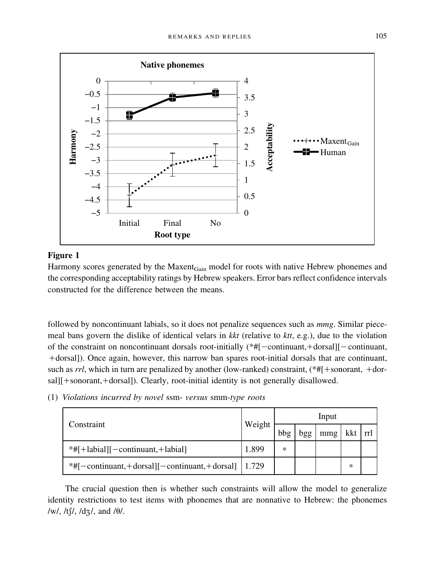

Harmony scores generated by the  $Maxent_{Gain}$  model for roots with native Hebrew phonemes and the corresponding acceptability ratings by Hebrew speakers. Error bars reflect confidence intervals constructed for the difference between the means.

followed by noncontinuant labials, so it does not penalize sequences such as *mmg*. Similar piecemeal bans govern the dislike of identical velars in *kkt* (relative to *ktt*, e.g.), due to the violation of the constraint on noncontinuant dorsals root-initially  $(*\#[-\text{continuant},+\text{dorsal}][-\text{continuant},$ +dorsal]). Once again, however, this narrow ban spares root-initial dorsals that are continuant, such as *rrl*, which in turn are penalized by another (low-ranked) constraint, (\*#[+sonorant, +dorsal] $[+$ sonorant, $+$ dorsal]). Clearly, root-initial identity is not generally disallowed.

(1) *Violations incurred by novel* ssm- *versus* smm-*type roots*

|                                                 | Weight | Input  |     |     |        |                            |  |
|-------------------------------------------------|--------|--------|-----|-----|--------|----------------------------|--|
| Constraint                                      |        | bbg    | bgg | mmg | kkt    | $\mathop{\rm Im}\nolimits$ |  |
| $*#$ [+labial][-continuant,+labial]             | 1.899  | $\ast$ |     |     |        |                            |  |
| $*$ #[-continuant,+dorsal][-continuant,+dorsal] | 1.729  |        |     |     | $\ast$ |                            |  |

The crucial question then is whether such constraints will allow the model to generalize identity restrictions to test items with phonemes that are nonnative to Hebrew: the phonemes /w/, /t $\int$ /, /dʒ/, and / $\theta$ /.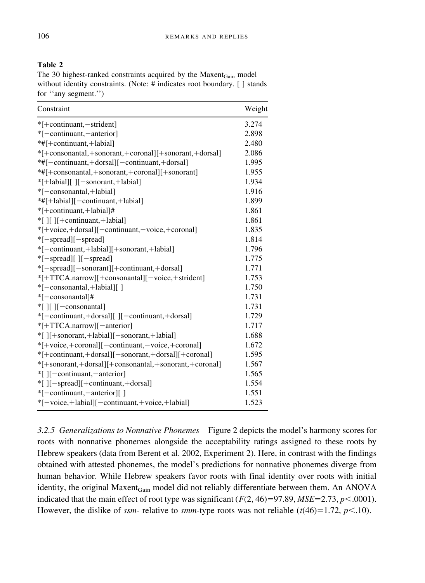**Table 2**

The 30 highest-ranked constraints acquired by the Maxent $_{\text{Gain}}$  model without identity constraints. (Note: # indicates root boundary. [ ] stands for ''any segment.'')

| Constraint                                                                 | Weight |
|----------------------------------------------------------------------------|--------|
| *[+continuant,-strident]                                                   | 3.274  |
| *[-continuant,-anterior]                                                   | 2.898  |
| *#[+continuant,+labial]                                                    | 2.480  |
| *[+consonantal,+sonorant,+coronal][+sonorant,+dorsal]                      | 2.086  |
| *#[-continuant,+dorsal][-continuant,+dorsal]                               | 1.995  |
| *#[+consonantal,+sonorant,+coronal][+sonorant]                             | 1.955  |
| *[+labial][ ][-sonorant,+labial]                                           | 1.934  |
| *[-consonantal,+labial]                                                    | 1.916  |
| *#[+labial][-continuant,+labial]                                           | 1.899  |
| *[+continuant,+labial]#                                                    | 1.861  |
| *[ ][ ][+continuant, + labial]                                             | 1.861  |
| *[+voice,+dorsal][-continuant,-voice,+coronal]                             | 1.835  |
| $*[-spread][-spread]$                                                      | 1.814  |
| *[-continuant,+labial][+sonorant,+labial]                                  | 1.796  |
| *[-spread][][-spread]                                                      | 1.775  |
| *[-spread][-sonorant][+continuant,+dorsal]                                 | 1.771  |
| *[+TTCA.narrow][+consonantal][-voice,+strident]                            | 1.753  |
| *[-consonantal,+labial][]                                                  | 1.750  |
| *[-consonantal]#                                                           | 1.731  |
| *[ ][ ][-consonantal]                                                      | 1.731  |
| *[-continuant,+dorsal][][-continuant,+dorsal]                              | 1.729  |
| *[+TTCA.narrow][-anterior]                                                 | 1.717  |
| *[]   + sonorant, + labial     - sonorant, + labial                        | 1.688  |
| *[+voice,+coronal][-continuant,-voice,+coronal]                            | 1.672  |
| *[+continuant,+dorsal][-sonorant,+dorsal][+coronal]                        | 1.595  |
| *[+sonorant,+dorsal][+consonantal,+sonorant,+coronal]                      | 1.567  |
| *[ ][-continuant,-anterior]                                                | 1.565  |
| $\lvert \cdot \rvert$   $\lvert$ -spread   $\lvert$ + continuant, + dorsal | 1.554  |
| *[-continuant,-anterior][]                                                 | 1.551  |
| *[-voice,+labial][-continuant,+voice,+labial]                              | 1.523  |

*3.2.5 Generalizations to Nonnative Phonemes* Figure 2 depicts the model's harmony scores for roots with nonnative phonemes alongside the acceptability ratings assigned to these roots by Hebrew speakers (data from Berent et al. 2002, Experiment 2). Here, in contrast with the findings obtained with attested phonemes, the model's predictions for nonnative phonemes diverge from human behavior. While Hebrew speakers favor roots with final identity over roots with initial identity, the original  $Maxent_{Gain}$  model did not reliably differentiate between them. An ANOVA indicated that the main effect of root type was significant  $(F(2, 46)=97.89, MSE=2.73, p<.0001)$ . However, the dislike of *ssm*- relative to *smm*-type roots was not reliable  $(t(46)=1.72, p<.10)$ .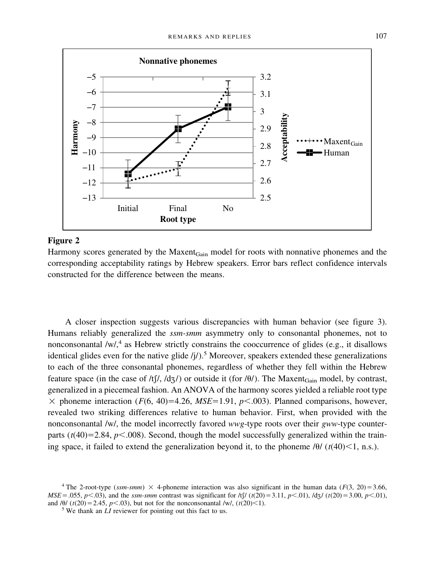

Harmony scores generated by the  $Maxent_{Gain}$  model for roots with nonnative phonemes and the corresponding acceptability ratings by Hebrew speakers. Error bars reflect confidence intervals constructed for the difference between the means.

A closer inspection suggests various discrepancies with human behavior (see figure 3). Humans reliably generalized the *ssm-smm* asymmetry only to consonantal phonemes, not to nonconsonantal /w/,<sup>4</sup> as Hebrew strictly constrains the cooccurrence of glides (e.g., it disallows identical glides even for the native glide  $j_l/$ ).<sup>5</sup> Moreover, speakers extended these generalizations to each of the three consonantal phonemes, regardless of whether they fell within the Hebrew feature space (in the case of /tf/, /dʒ/) or outside it (for / $\theta$ /). The Maxent<sub>Gain</sub> model, by contrast, generalized in a piecemeal fashion. An ANOVA of the harmony scores yielded a reliable root type  $\times$  phoneme interaction (*F*(6, 40)=4.26, *MSE*=1.91, *p*<.003). Planned comparisons, however, revealed two striking differences relative to human behavior. First, when provided with the nonconsonantal /w/, the model incorrectly favored *wwg*-type roots over their *gww*-type counterparts ( $t(40)=2.84$ ,  $p<0.008$ ). Second, though the model successfully generalized within the training space, it failed to extend the generalization beyond it, to the phoneme  $/0/ (t(40) \le 1, n.s.).$ 

<sup>&</sup>lt;sup>4</sup> The 2-root-type (*ssm-smm*)  $\times$  4-phoneme interaction was also significant in the human data ( $F(3, 20) = 3.66$ , *MSE* = .055, *p* < .03), and the *ssm-smm* contrast was significant for  $\pi f/(f/(t(20)) = 3.11$ , *p*< .01),  $\frac{\pi}{4}$  ( $t(20) = 3.00$ , *p* < .01), and  $/0$  ( $t(20) = 2.45$ ,  $p < .03$ ), but not for the nonconsonantal /w/, ( $t(20) < 1$ ). <sup>5</sup> We thank an *LI* reviewer for pointing out this fact to us.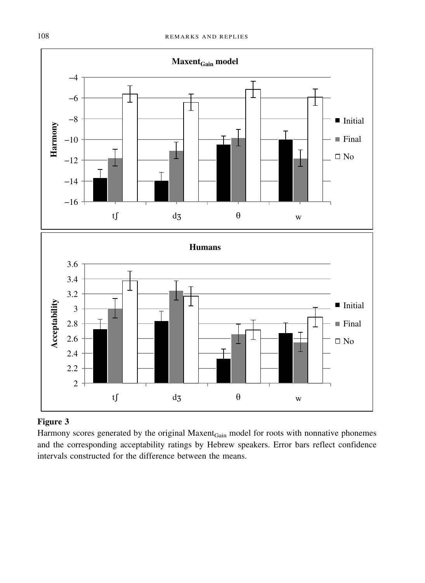

Harmony scores generated by the original Maxent<sub>Gain</sub> model for roots with nonnative phonemes and the corresponding acceptability ratings by Hebrew speakers. Error bars reflect confidence intervals constructed for the difference between the means.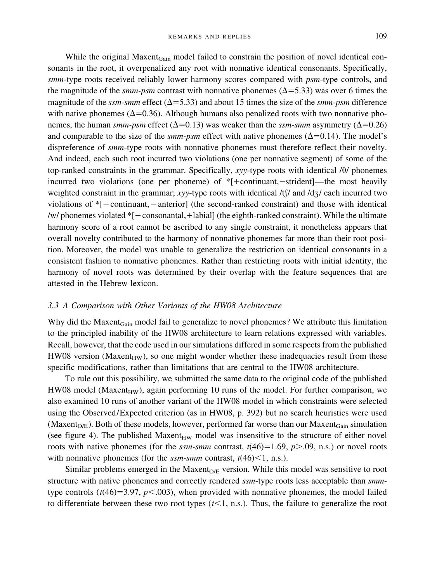While the original Maxent<sub>Gain</sub> model failed to constrain the position of novel identical consonants in the root, it overpenalized any root with nonnative identical consonants. Specifically, *smm*-type roots received reliably lower harmony scores compared with *psm*-type controls, and the magnitude of the *smm-psm* contrast with nonnative phonemes  $(\Delta = 5.33)$  was over 6 times the magnitude of the *ssm-smm* effect  $(\Delta = 5.33)$  and about 15 times the size of the *smm-psm* difference with native phonemes  $(\Delta=0.36)$ . Although humans also penalized roots with two nonnative phonemes, the human *smm-psm* effect  $(\Delta=0.13)$  was weaker than the *ssm-smm* asymmetry  $(\Delta=0.26)$ and comparable to the size of the  $smm\text{-}psm$  effect with native phonemes ( $\Delta$ =0.14). The model's dispreference of *smm*-type roots with nonnative phonemes must therefore reflect their novelty. And indeed, each such root incurred two violations (one per nonnative segment) of some of the top-ranked constraints in the grammar. Specifically,  $xyy$ -type roots with identical  $/0/$  phonemes incurred two violations (one per phoneme) of  $*$ [+continuant,-strident]—the most heavily weighted constraint in the grammar; *xyy*-type roots with identical  $/t\frac{1}{d\zeta}$  each incurred two violations of  $*$ [ $-$ continuant, $-$ anterior] (the second-ranked constraint) and those with identical /w/ phonemes violated  $*[-\text{consonantal}, +\text{labial}]$  (the eighth-ranked constraint). While the ultimate harmony score of a root cannot be ascribed to any single constraint, it nonetheless appears that overall novelty contributed to the harmony of nonnative phonemes far more than their root position. Moreover, the model was unable to generalize the restriction on identical consonants in a consistent fashion to nonnative phonemes. Rather than restricting roots with initial identity, the harmony of novel roots was determined by their overlap with the feature sequences that are attested in the Hebrew lexicon.

### *3.3 A Comparison with Other Variants of the HW08 Architecture*

Why did the Maxent $_{Gain}$  model fail to generalize to novel phonemes? We attribute this limitation to the principled inability of the HW08 architecture to learn relations expressed with variables. Recall, however, that the code used in our simulations differed in some respects from the published  $HW08$  version (Maxent<sub>HW</sub>), so one might wonder whether these inadequacies result from these specific modifications, rather than limitations that are central to the HW08 architecture.

To rule out this possibility, we submitted the same data to the original code of the published  $HW08$  model (Maxent<sub>HW</sub>), again performing 10 runs of the model. For further comparison, we also examined 10 runs of another variant of the HW08 model in which constraints were selected using the Observed/Expected criterion (as in HW08, p. 392) but no search heuristics were used (Maxent<sub>O/E</sub>). Both of these models, however, performed far worse than our Maxent<sub>Gain</sub> simulation (see figure 4). The published Maxent<sub>HW</sub> model was insensitive to the structure of either novel roots with native phonemes (for the *ssm-smm* contrast,  $t(46)=1.69$ ,  $p>.09$ , n.s.) or novel roots with nonnative phonemes (for the  $ssm\text{-}smm$  contrast,  $t(46)$  < 1, n.s.).

Similar problems emerged in the Maxent<sub>O/E</sub> version. While this model was sensitive to root structure with native phonemes and correctly rendered *ssm*-type roots less acceptable than *smm*type controls ( $t$ (46)=3.97,  $p$ <.003), when provided with nonnative phonemes, the model failed to differentiate between these two root types  $(t<1, n.s.)$ . Thus, the failure to generalize the root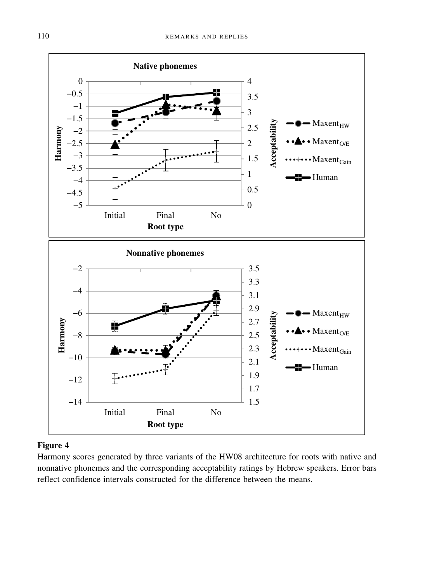![](_page_13_Figure_1.jpeg)

Harmony scores generated by three variants of the HW08 architecture for roots with native and nonnative phonemes and the corresponding acceptability ratings by Hebrew speakers. Error bars reflect confidence intervals constructed for the difference between the means.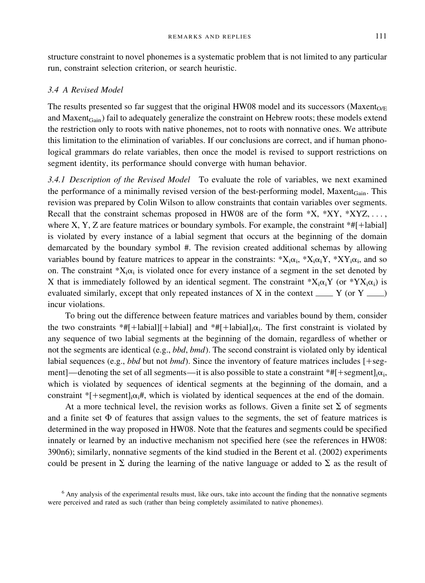structure constraint to novel phonemes is a systematic problem that is not limited to any particular run, constraint selection criterion, or search heuristic.

### *3.4 A Revised Model*

The results presented so far suggest that the original HW08 model and its successors (Maxent<sub>O/E</sub>) and Maxent<sub>Gain</sub>) fail to adequately generalize the constraint on Hebrew roots; these models extend the restriction only to roots with native phonemes, not to roots with nonnative ones. We attribute this limitation to the elimination of variables. If our conclusions are correct, and if human phonological grammars do relate variables, then once the model is revised to support restrictions on segment identity, its performance should converge with human behavior.

*3.4.1 Description of the Revised Model* To evaluate the role of variables, we next examined the performance of a minimally revised version of the best-performing model,  $Maxent_{Gain}$ . This revision was prepared by Colin Wilson to allow constraints that contain variables over segments. Recall that the constraint schemas proposed in HW08 are of the form  $*X$ ,  $*XY$ ,  $*XYZ$ ,..., where X, Y, Z are feature matrices or boundary symbols. For example, the constraint  $*$ #[+labial] is violated by every instance of a labial segment that occurs at the beginning of the domain demarcated by the boundary symbol #. The revision created additional schemas by allowing variables bound by feature matrices to appear in the constraints:  $X_i\alpha_i$ ,  $X_i\alpha_i$ ,  $X_iX_j\alpha_j$ , and so on. The constraint  $X_i \alpha_i$  is violated once for every instance of a segment in the set denoted by X that is immediately followed by an identical segment. The constraint  $X_i\alpha_i Y$  (or  $*YX_i\alpha_i$ ) is evaluated similarly, except that only repeated instances of X in the context  $\frac{Y (or Y -)}{Y}$ incur violations.

To bring out the difference between feature matrices and variables bound by them, consider the two constraints  $*$ #[+labial][+labial] and  $*$ #[+labial]<sub>i</sub> $\alpha_i$ . The first constraint is violated by any sequence of two labial segments at the beginning of the domain, regardless of whether or not the segments are identical (e.g., *bbd*, *bmd*). The second constraint is violated only by identical labial sequences (e.g., *bbd* but not *bmd*). Since the inventory of feature matrices includes [+segment]—denoting the set of all segments—it is also possible to state a constraint  $*#$ [+segment]<sub>i</sub> $\alpha_i$ , which is violated by sequences of identical segments at the beginning of the domain, and a constraint  $*$ [+segment]<sub>i</sub> $\alpha$ <sub>i</sub>#, which is violated by identical sequences at the end of the domain.

At a more technical level, the revision works as follows. Given a finite set  $\Sigma$  of segments and a finite set  $\Phi$  of features that assign values to the segments, the set of feature matrices is determined in the way proposed in HW08. Note that the features and segments could be specified innately or learned by an inductive mechanism not specified here (see the references in HW08: 390n6); similarly, nonnative segments of the kind studied in the Berent et al. (2002) experiments could be present in  $\Sigma$  during the learning of the native language or added to  $\Sigma$  as the result of

<sup>6</sup> Any analysis of the experimental results must, like ours, take into account the finding that the nonnative segments were perceived and rated as such (rather than being completely assimilated to native phonemes).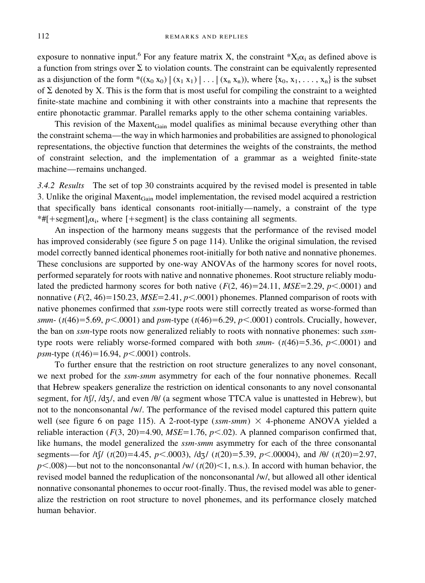exposure to nonnative input.<sup>6</sup> For any feature matrix X, the constraint  $X_i\alpha_i$  as defined above is a function from strings over  $\Sigma$  to violation counts. The constraint can be equivalently represented as a disjunction of the form  $*(x_0 x_0) | (x_1 x_1) | \dots | (x_n x_n)$ , where  $\{x_0, x_1, \dots, x_n\}$  is the subset of  $\Sigma$  denoted by X. This is the form that is most useful for compiling the constraint to a weighted finite-state machine and combining it with other constraints into a machine that represents the entire phonotactic grammar. Parallel remarks apply to the other schema containing variables.

This revision of the Maxent<sub>Gain</sub> model qualifies as minimal because everything other than the constraint schema—the way in which harmonies and probabilities are assigned to phonological representations, the objective function that determines the weights of the constraints, the method of constraint selection, and the implementation of a grammar as a weighted finite-state machine—remains unchanged.

*3.4.2 Results* The set of top 30 constraints acquired by the revised model is presented in table 3. Unlike the original Maxent $_{Gain}$  model implementation, the revised model acquired a restriction that specifically bans identical consonants root-initially—namely, a constraint of the type  $*$ #[+segment]<sub>i</sub> $\alpha$ <sub>i</sub>, where [+segment] is the class containing all segments.

An inspection of the harmony means suggests that the performance of the revised model has improved considerably (see figure 5 on page 114). Unlike the original simulation, the revised model correctly banned identical phonemes root-initially for both native and nonnative phonemes. These conclusions are supported by one-way ANOVAs of the harmony scores for novel roots, performed separately for roots with native and nonnative phonemes. Root structure reliably modulated the predicted harmony scores for both native  $(F(2, 46)=24.11, MSE=2.29, p<.0001)$  and nonnative  $(F(2, 46)=150.23, MSE=2.41, p<0.001)$  phonemes. Planned comparison of roots with native phonemes confirmed that *ssm*-type roots were still correctly treated as worse-formed than *smm*- ( $t$ (46)=5.69,  $p$ <.0001) and  $psm$ -type ( $t$ (46)=6.29,  $p$ <.0001) controls. Crucially, however, the ban on *ssm*-type roots now generalized reliably to roots with nonnative phonemes: such *ssm*type roots were reliably worse-formed compared with both  $smm- (t(46)=5.36, p<.0001)$  and *psm*-type ( $t(46)=16.94$ ,  $p<.0001$ ) controls.

To further ensure that the restriction on root structure generalizes to any novel consonant, we next probed for the *ssm-smm* asymmetry for each of the four nonnative phonemes. Recall that Hebrew speakers generalize the restriction on identical consonants to any novel consonantal segment, for /tf/, /dʒ/, and even / $\theta$ / (a segment whose TTCA value is unattested in Hebrew), but not to the nonconsonantal /w/. The performance of the revised model captured this pattern quite well (see figure 6 on page 115). A 2-root-type ( $ssm\text{-}smm$ )  $\times$  4-phoneme ANOVA yielded a reliable interaction  $(F(3, 20)=4.90$ ,  $MSE=1.76$ ,  $p<0.02$ ). A planned comparison confirmed that, like humans, the model generalized the *ssm-smm* asymmetry for each of the three consonantal segments—for /tf/ ( $t(20)=4.45$ ,  $p<.0003$ ), /dʒ/ ( $t(20)=5.39$ ,  $p<.00004$ ), and / $\theta$ / ( $t(20)=2.97$ ,  $p$ <.008)—but not to the nonconsonantal /w/ ( $t$ (20)<1, n.s.). In accord with human behavior, the revised model banned the reduplication of the nonconsonantal /w/, but allowed all other identical nonnative consonantal phonemes to occur root-finally. Thus, the revised model was able to generalize the restriction on root structure to novel phonemes, and its performance closely matched human behavior.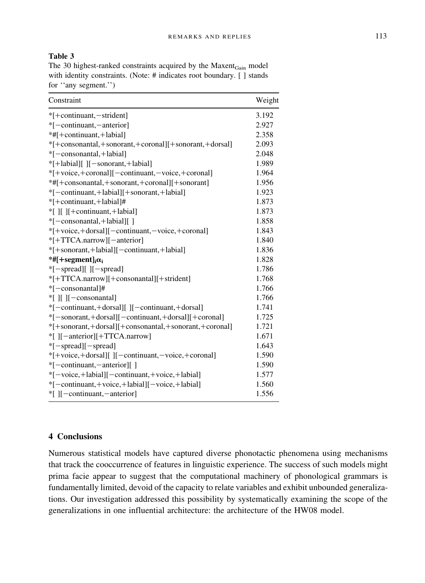### **Table 3**

The 30 highest-ranked constraints acquired by the Maxent<sub>Gain</sub> model with identity constraints. (Note: # indicates root boundary. [ ] stands for ''any segment.'')

| Constraint                                            | Weight |
|-------------------------------------------------------|--------|
| *[+continuant,-strident]                              | 3.192  |
| *[-continuant,-anterior]                              | 2.927  |
| $*#$ [+continuant, + labial]                          | 2.358  |
| *[+consonantal,+sonorant,+coronal][+sonorant,+dorsal] | 2.093  |
| *[-consonantal,+labial]                               | 2.048  |
| *[+labial][][-sonorant,+labial]                       | 1.989  |
| *[+voice,+coronal][-continuant,-voice,+coronal]       | 1.964  |
| *#[+consonantal,+sonorant,+coronal][+sonorant]        | 1.956  |
| *[-continuant,+labial][+sonorant,+labial]             | 1.923  |
| *[+continuant,+labial]#                               | 1.873  |
| *[ ][ ][+continuant, + labial]                        | 1.873  |
| *[-consonantal,+labial][]                             | 1.858  |
| *[+voice,+dorsal][-continuant,-voice,+coronal]        | 1.843  |
| *[+TTCA.narrow][-anterior]                            | 1.840  |
| *[+sonorant,+labial][-continuant,+labial]             | 1.836  |
| *#[+segment] <sub>i</sub> $\alpha_i$                  | 1.828  |
| *[-spread][][-spread]                                 | 1.786  |
| *[+TTCA.narrow][+consonantal][+strident]              | 1.768  |
| *[-consonantal]#                                      | 1.766  |
| *[ ][ ][-consonantal]                                 | 1.766  |
| *[-continuant,+dorsal][] [-continuant,+dorsal]        | 1.741  |
| *[-sonorant,+dorsal][-continuant,+dorsal][+coronal]   | 1.725  |
| *[+sonorant,+dorsal][+consonantal,+sonorant,+coronal] | 1.721  |
| *[ ][-anterior][+TTCA.narrow]                         | 1.671  |
| $*[-spread] [-spread]$                                | 1.643  |
| *[+voice,+dorsal][][-continuant,-voice,+coronal]      | 1.590  |
| *[-continuant,-anterior][]                            | 1.590  |
| *[-voice,+labial][-continuant,+voice,+labial]         | 1.577  |
| *[-continuant,+voice,+labial][-voice,+labial]         | 1.560  |
| *[][-continuant,-anterior]                            | 1.556  |

# **4 Conclusions**

Numerous statistical models have captured diverse phonotactic phenomena using mechanisms that track the cooccurrence of features in linguistic experience. The success of such models might prima facie appear to suggest that the computational machinery of phonological grammars is fundamentally limited, devoid of the capacity to relate variables and exhibit unbounded generalizations. Our investigation addressed this possibility by systematically examining the scope of the generalizations in one influential architecture: the architecture of the HW08 model.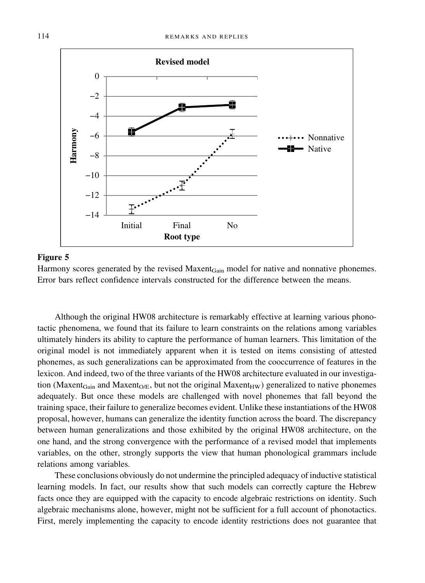![](_page_17_Figure_1.jpeg)

Harmony scores generated by the revised Maxent $_{\text{Gain}}$  model for native and nonnative phonemes. Error bars reflect confidence intervals constructed for the difference between the means.

Although the original HW08 architecture is remarkably effective at learning various phonotactic phenomena, we found that its failure to learn constraints on the relations among variables ultimately hinders its ability to capture the performance of human learners. This limitation of the original model is not immediately apparent when it is tested on items consisting of attested phonemes, as such generalizations can be approximated from the cooccurrence of features in the lexicon. And indeed, two of the three variants of the HW08 architecture evaluated in our investigation (Maxent<sub>Gain</sub> and Maxent<sub>O/E</sub>, but not the original Maxent<sub>HW</sub>) generalized to native phonemes adequately. But once these models are challenged with novel phonemes that fall beyond the training space, their failure to generalize becomes evident. Unlike these instantiations of the HW08 proposal, however, humans can generalize the identity function across the board. The discrepancy between human generalizations and those exhibited by the original HW08 architecture, on the one hand, and the strong convergence with the performance of a revised model that implements variables, on the other, strongly supports the view that human phonological grammars include relations among variables.

These conclusions obviously do not undermine the principled adequacy of inductive statistical learning models. In fact, our results show that such models can correctly capture the Hebrew facts once they are equipped with the capacity to encode algebraic restrictions on identity. Such algebraic mechanisms alone, however, might not be sufficient for a full account of phonotactics. First, merely implementing the capacity to encode identity restrictions does not guarantee that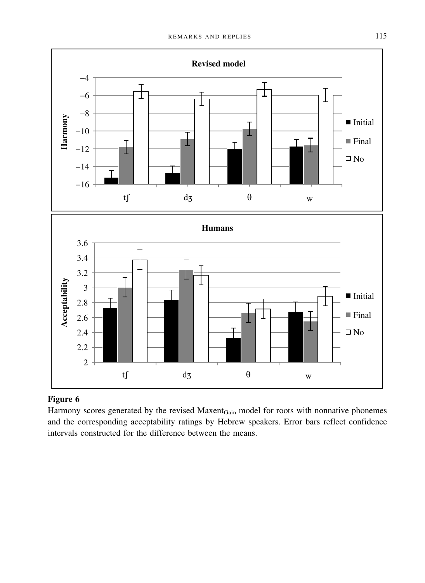![](_page_18_Figure_1.jpeg)

Harmony scores generated by the revised Maxent<sub>Gain</sub> model for roots with nonnative phonemes and the corresponding acceptability ratings by Hebrew speakers. Error bars reflect confidence intervals constructed for the difference between the means.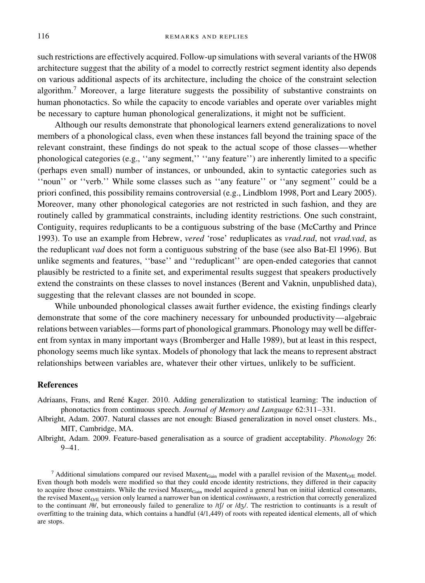such restrictions are effectively acquired. Follow-up simulations with several variants of the HW08 architecture suggest that the ability of a model to correctly restrict segment identity also depends on various additional aspects of its architecture, including the choice of the constraint selection algorithm.7 Moreover, a large literature suggests the possibility of substantive constraints on human phonotactics. So while the capacity to encode variables and operate over variables might be necessary to capture human phonological generalizations, it might not be sufficient.

Although our results demonstrate that phonological learners extend generalizations to novel members of a phonological class, even when these instances fall beyond the training space of the relevant constraint, these findings do not speak to the actual scope of those classes—whether phonological categories (e.g., ''any segment,'' ''any feature'') are inherently limited to a specific (perhaps even small) number of instances, or unbounded, akin to syntactic categories such as ''noun'' or ''verb.'' While some classes such as ''any feature'' or ''any segment'' could be a priori confined, this possibility remains controversial (e.g., Lindblom 1998, Port and Leary 2005). Moreover, many other phonological categories are not restricted in such fashion, and they are routinely called by grammatical constraints, including identity restrictions. One such constraint, Contiguity, requires reduplicants to be a contiguous substring of the base (McCarthy and Prince 1993). To use an example from Hebrew, *vered* 'rose' reduplicates as *vrad.rad*, not *vrad.vad*, as the reduplicant *vad* does not form a contiguous substring of the base (see also Bat-El 1996). But unlike segments and features, ''base'' and ''reduplicant'' are open-ended categories that cannot plausibly be restricted to a finite set, and experimental results suggest that speakers productively extend the constraints on these classes to novel instances (Berent and Vaknin, unpublished data), suggesting that the relevant classes are not bounded in scope.

While unbounded phonological classes await further evidence, the existing findings clearly demonstrate that some of the core machinery necessary for unbounded productivity—algebraic relations between variables—forms part of phonological grammars. Phonology may well be different from syntax in many important ways (Bromberger and Halle 1989), but at least in this respect, phonology seems much like syntax. Models of phonology that lack the means to represent abstract relationships between variables are, whatever their other virtues, unlikely to be sufficient.

#### **References**

- Adriaans, Frans, and René Kager. 2010. Adding generalization to statistical learning: The induction of phonotactics from continuous speech. *Journal of Memory and Language* 62:311–331.
- Albright, Adam. 2007. Natural classes are not enough: Biased generalization in novel onset clusters. Ms., MIT, Cambridge, MA.

Albright, Adam. 2009. Feature-based generalisation as a source of gradient acceptability. *Phonology* 26: 9–41.

<sup>&</sup>lt;sup>7</sup> Additional simulations compared our revised Maxent<sub>Gain</sub> model with a parallel revision of the Maxent<sub>O/E</sub> model. Even though both models were modified so that they could encode identity restrictions, they differed in their capacity to acquire those constraints. While the revised Maxent<sub>Gain</sub> model acquired a general ban on initial identical consonants, the revised Maxent<sub>O/E</sub> version only learned a narrower ban on identical *continuants*, a restriction that correctly generalized to the continuant / $\theta$ , but erroneously failed to generalize to /t $\int$  or /d $\zeta$ /. The restriction to continuants is a result of overfitting to the training data, which contains a handful (4/1,449) of roots with repeated identical elements, all of which are stops.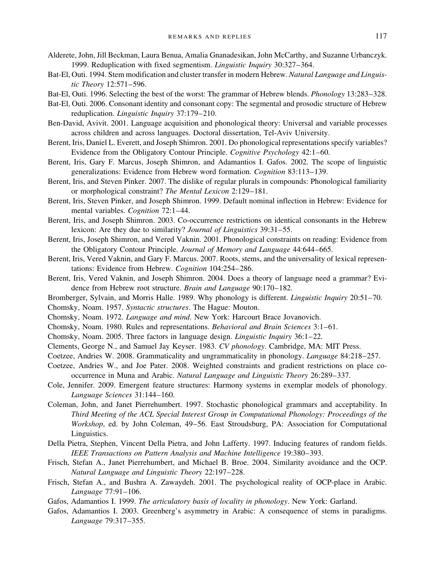- Alderete, John, Jill Beckman, Laura Benua, Amalia Gnanadesikan, John McCarthy, and Suzanne Urbanczyk. 1999. Reduplication with fixed segmentism. *Linguistic Inquiry* 30:327–364.
- Bat-El, Outi. 1994. Stem modification and cluster transfer in modern Hebrew. *Natural Language and Linguistic Theory* 12:571–596.
- Bat-El, Outi. 1996. Selecting the best of the worst: The grammar of Hebrew blends. *Phonology* 13:283–328.
- Bat-El, Outi. 2006. Consonant identity and consonant copy: The segmental and prosodic structure of Hebrew reduplication. *Linguistic Inquiry* 37:179–210.
- Ben-David, Avivit. 2001. Language acquisition and phonological theory: Universal and variable processes across children and across languages. Doctoral dissertation, Tel-Aviv University.
- Berent, Iris, Daniel L. Everett, and Joseph Shimron. 2001. Do phonological representations specify variables? Evidence from the Obligatory Contour Principle. *Cognitive Psychology* 42:1–60.
- Berent, Iris, Gary F. Marcus, Joseph Shimron, and Adamantios I. Gafos. 2002. The scope of linguistic generalizations: Evidence from Hebrew word formation. *Cognition* 83:113–139.
- Berent, Iris, and Steven Pinker. 2007. The dislike of regular plurals in compounds: Phonological familiarity or morphological constraint? *The Mental Lexicon* 2:129–181.
- Berent, Iris, Steven Pinker, and Joseph Shimron. 1999. Default nominal inflection in Hebrew: Evidence for mental variables. *Cognition* 72:1–44.
- Berent, Iris, and Joseph Shimron. 2003. Co-occurrence restrictions on identical consonants in the Hebrew lexicon: Are they due to similarity? *Journal of Linguistics* 39:31–55.
- Berent, Iris, Joseph Shimron, and Vered Vaknin. 2001. Phonological constraints on reading: Evidence from the Obligatory Contour Principle. *Journal of Memory and Language* 44:644–665.
- Berent, Iris, Vered Vaknin, and Gary F. Marcus. 2007. Roots, stems, and the universality of lexical representations: Evidence from Hebrew. *Cognition* 104:254–286.
- Berent, Iris, Vered Vaknin, and Joseph Shimron. 2004. Does a theory of language need a grammar? Evidence from Hebrew root structure. *Brain and Language* 90:170–182.
- Bromberger, Sylvain, and Morris Halle. 1989. Why phonology is different. *Linguistic Inquiry* 20:51–70.
- Chomsky, Noam. 1957. *Syntactic structures*. The Hague: Mouton.
- Chomsky, Noam. 1972. *Language and mind*. New York: Harcourt Brace Jovanovich.
- Chomsky, Noam. 1980. Rules and representations. *Behavioral and Brain Sciences* 3:1–61.
- Chomsky, Noam. 2005. Three factors in language design. *Linguistic Inquiry* 36:1–22.
- Clements, George N., and Samuel Jay Keyser. 1983. *CV phonology*. Cambridge, MA: MIT Press.
- Coetzee, Andries W. 2008. Grammaticality and ungrammaticality in phonology. *Language* 84:218–257.
- Coetzee, Andries W., and Joe Pater. 2008. Weighted constraints and gradient restrictions on place cooccurrence in Muna and Arabic. *Natural Language and Linguistic Theory* 26:289–337.
- Cole, Jennifer. 2009. Emergent feature structures: Harmony systems in exemplar models of phonology. *Language Sciences* 31:144–160.
- Coleman, John, and Janet Pierrehumbert. 1997. Stochastic phonological grammars and acceptability. In *Third Meeting of the ACL Special Interest Group in Computational Phonology: Proceedings of the Workshop*, ed. by John Coleman, 49–56. East Stroudsburg, PA: Association for Computational Linguistics.
- Della Pietra, Stephen, Vincent Della Pietra, and John Lafferty. 1997. Inducing features of random fields. *IEEE Transactions on Pattern Analysis and Machine Intelligence* 19:380–393.
- Frisch, Stefan A., Janet Pierrehumbert, and Michael B. Broe. 2004. Similarity avoidance and the OCP. *Natural Language and Linguistic Theory* 22:197–228.
- Frisch, Stefan A., and Bushra A. Zawaydeh. 2001. The psychological reality of OCP-place in Arabic. *Language* 77:91–106.
- Gafos, Adamantios I. 1999. *The articulatory basis of locality in phonology*. New York: Garland.
- Gafos, Adamantios I. 2003. Greenberg's asymmetry in Arabic: A consequence of stems in paradigms. *Language* 79:317–355.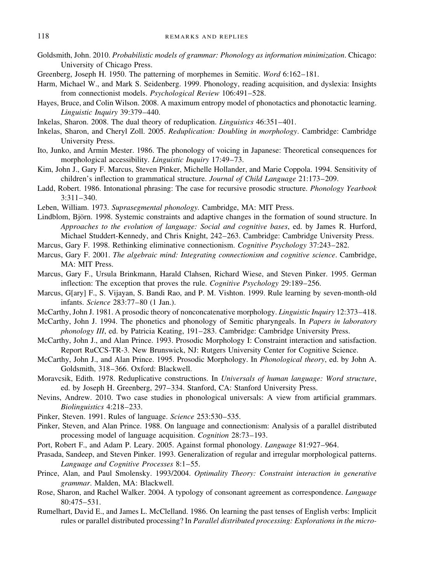- Goldsmith, John. 2010. *Probabilistic models of grammar: Phonology as information minimization*. Chicago: University of Chicago Press.
- Greenberg, Joseph H. 1950. The patterning of morphemes in Semitic. *Word* 6:162–181.
- Harm, Michael W., and Mark S. Seidenberg. 1999. Phonology, reading acquisition, and dyslexia: Insights from connectionist models. *Psychological Review* 106:491–528.
- Hayes, Bruce, and Colin Wilson. 2008. A maximum entropy model of phonotactics and phonotactic learning. *Linguistic Inquiry* 39:379–440.
- Inkelas, Sharon. 2008. The dual theory of reduplication. *Linguistics* 46:351–401.
- Inkelas, Sharon, and Cheryl Zoll. 2005. *Reduplication: Doubling in morphology*. Cambridge: Cambridge University Press.
- Ito, Junko, and Armin Mester. 1986. The phonology of voicing in Japanese: Theoretical consequences for morphological accessibility. *Linguistic Inquiry* 17:49–73.
- Kim, John J., Gary F. Marcus, Steven Pinker, Michelle Hollander, and Marie Coppola. 1994. Sensitivity of children's inflection to grammatical structure. *Journal of Child Language* 21:173–209.
- Ladd, Robert. 1986. Intonational phrasing: The case for recursive prosodic structure. *Phonology Yearbook* 3:311–340.
- Leben, William. 1973. *Suprasegmental phonology.* Cambridge, MA: MIT Press.
- Lindblom, Björn. 1998. Systemic constraints and adaptive changes in the formation of sound structure. In *Approaches to the evolution of language: Social and cognitive bases*, ed. by James R. Hurford, Michael Studdert-Kennedy, and Chris Knight, 242–263. Cambridge: Cambridge University Press.
- Marcus, Gary F. 1998. Rethinking eliminative connectionism. *Cognitive Psychology* 37:243–282.
- Marcus, Gary F. 2001. *The algebraic mind: Integrating connectionism and cognitive science*. Cambridge, MA: MIT Press.
- Marcus, Gary F., Ursula Brinkmann, Harald Clahsen, Richard Wiese, and Steven Pinker. 1995. German inflection: The exception that proves the rule. *Cognitive Psychology* 29:189–256.
- Marcus, G[ary] F., S. Vijayan, S. Bandi Rao, and P. M. Vishton. 1999. Rule learning by seven-month-old infants. *Science* 283:77–80 (1 Jan.).
- McCarthy, John J. 1981. A prosodic theory of nonconcatenative morphology. *Linguistic Inquiry* 12:373–418.
- McCarthy, John J. 1994. The phonetics and phonology of Semitic pharyngeals. In *Papers in laboratory phonology III*, ed. by Patricia Keating, 191–283. Cambridge: Cambridge University Press.
- McCarthy, John J., and Alan Prince. 1993. Prosodic Morphology I: Constraint interaction and satisfaction. Report RuCCS-TR-3. New Brunswick, NJ: Rutgers University Center for Cognitive Science.
- McCarthy, John J., and Alan Prince. 1995. Prosodic Morphology. In *Phonological theory*, ed. by John A. Goldsmith, 318–366. Oxford: Blackwell.
- Moravcsik, Edith. 1978. Reduplicative constructions. In *Universals of human language: Word structure*, ed. by Joseph H. Greenberg, 297–334. Stanford, CA: Stanford University Press.
- Nevins, Andrew. 2010. Two case studies in phonological universals: A view from artificial grammars. *Biolinguistics* 4:218–233.
- Pinker, Steven. 1991. Rules of language. *Science* 253:530–535.
- Pinker, Steven, and Alan Prince. 1988. On language and connectionism: Analysis of a parallel distributed processing model of language acquisition. *Cognition* 28:73–193.
- Port, Robert F., and Adam P. Leary. 2005. Against formal phonology. *Language* 81:927–964.
- Prasada, Sandeep, and Steven Pinker. 1993. Generalization of regular and irregular morphological patterns. *Language and Cognitive Processes* 8:1–55.
- Prince, Alan, and Paul Smolensky. 1993/2004. *Optimality Theory: Constraint interaction in generative grammar*. Malden, MA: Blackwell.
- Rose, Sharon, and Rachel Walker. 2004. A typology of consonant agreement as correspondence. *Language* 80:475–531.
- Rumelhart, David E., and James L. McClelland. 1986. On learning the past tenses of English verbs: Implicit rules or parallel distributed processing? In *Parallel distributed processing: Explorations in the micro-*